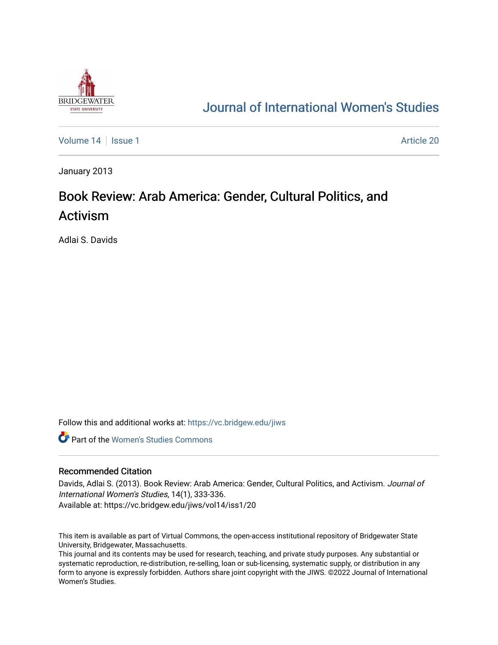

## [Journal of International Women's Studies](https://vc.bridgew.edu/jiws)

[Volume 14](https://vc.bridgew.edu/jiws/vol14) Sexue 1 Article 20

January 2013

# Book Review: Arab America: Gender, Cultural Politics, and Activism

Adlai S. Davids

Follow this and additional works at: [https://vc.bridgew.edu/jiws](https://vc.bridgew.edu/jiws?utm_source=vc.bridgew.edu%2Fjiws%2Fvol14%2Fiss1%2F20&utm_medium=PDF&utm_campaign=PDFCoverPages)

**C** Part of the Women's Studies Commons

### Recommended Citation

Davids, Adlai S. (2013). Book Review: Arab America: Gender, Cultural Politics, and Activism. Journal of International Women's Studies, 14(1), 333-336. Available at: https://vc.bridgew.edu/jiws/vol14/iss1/20

This item is available as part of Virtual Commons, the open-access institutional repository of Bridgewater State University, Bridgewater, Massachusetts.

This journal and its contents may be used for research, teaching, and private study purposes. Any substantial or systematic reproduction, re-distribution, re-selling, loan or sub-licensing, systematic supply, or distribution in any form to anyone is expressly forbidden. Authors share joint copyright with the JIWS. ©2022 Journal of International Women's Studies.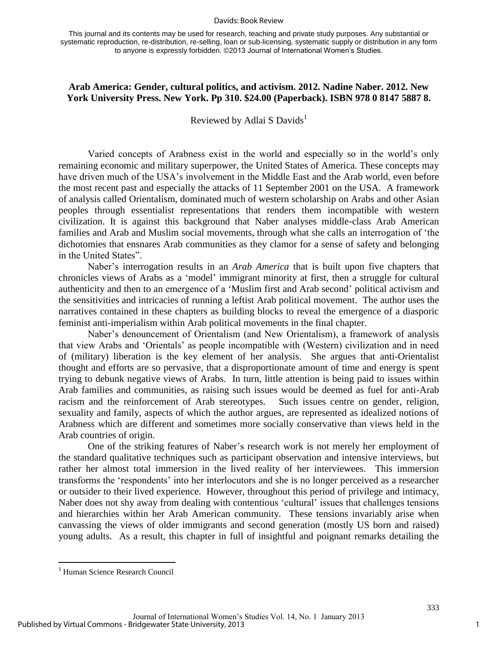#### Davids: Book Review

This journal and its contents may be used for research, teaching and private study purposes. Any substantial or systematic reproduction, re-distribution, re-selling, loan or sub-licensing, systematic supply or distribution in any form to anyone is expressly forbidden. ©2013 Journal of International Women's Studies.

## **Arab America: Gender, cultural politics, and activism. 2012. Nadine Naber. 2012. New York University Press. New York. Pp 310. \$24.00 (Paperback). ISBN 978 0 8147 5887 8.**

Reviewed by Adlai S Davids<sup>1</sup>

Varied concepts of Arabness exist in the world and especially so in the world's only remaining economic and military superpower, the United States of America. These concepts may have driven much of the USA's involvement in the Middle East and the Arab world, even before the most recent past and especially the attacks of 11 September 2001 on the USA. A framework of analysis called Orientalism, dominated much of western scholarship on Arabs and other Asian peoples through essentialist representations that renders them incompatible with western civilization. It is against this background that Naber analyses middle-class Arab American families and Arab and Muslim social movements, through what she calls an interrogation of 'the dichotomies that ensnares Arab communities as they clamor for a sense of safety and belonging in the United States".

Naber's interrogation results in an *Arab America* that is built upon five chapters that chronicles views of Arabs as a 'model' immigrant minority at first, then a struggle for cultural authenticity and then to an emergence of a 'Muslim first and Arab second' political activism and the sensitivities and intricacies of running a leftist Arab political movement. The author uses the narratives contained in these chapters as building blocks to reveal the emergence of a diasporic feminist anti-imperialism within Arab political movements in the final chapter.

Naber's denouncement of Orientalism (and New Orientalism), a framework of analysis that view Arabs and 'Orientals' as people incompatible with (Western) civilization and in need of (military) liberation is the key element of her analysis. She argues that anti-Orientalist thought and efforts are so pervasive, that a disproportionate amount of time and energy is spent trying to debunk negative views of Arabs. In turn, little attention is being paid to issues within Arab families and communities, as raising such issues would be deemed as fuel for anti-Arab racism and the reinforcement of Arab stereotypes. Such issues centre on gender, religion, sexuality and family, aspects of which the author argues, are represented as idealized notions of Arabness which are different and sometimes more socially conservative than views held in the Arab countries of origin.

One of the striking features of Naber's research work is not merely her employment of the standard qualitative techniques such as participant observation and intensive interviews, but rather her almost total immersion in the lived reality of her interviewees. This immersion transforms the 'respondents' into her interlocutors and she is no longer perceived as a researcher or outsider to their lived experience. However, throughout this period of privilege and intimacy, Naber does not shy away from dealing with contentious 'cultural' issues that challenges tensions and hierarchies within her Arab American community. These tensions invariably arise when canvassing the views of older immigrants and second generation (mostly US born and raised) young adults. As a result, this chapter in full of insightful and poignant remarks detailing the

 $\overline{\phantom{a}}$ 

<sup>1</sup> Human Science Research Council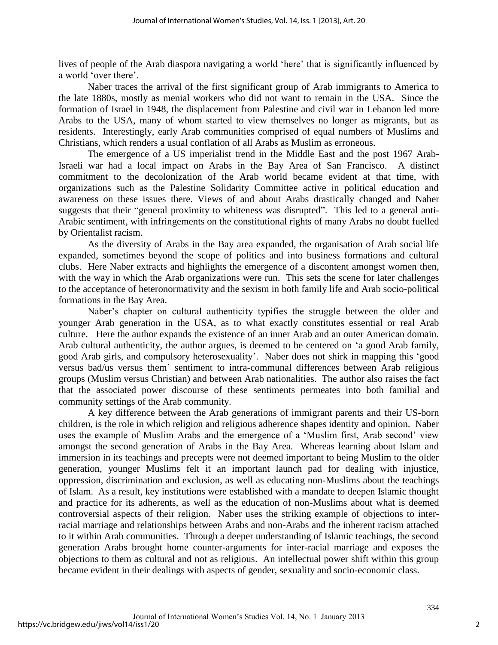lives of people of the Arab diaspora navigating a world 'here' that is significantly influenced by a world 'over there'.

Naber traces the arrival of the first significant group of Arab immigrants to America to the late 1880s, mostly as menial workers who did not want to remain in the USA. Since the formation of Israel in 1948, the displacement from Palestine and civil war in Lebanon led more Arabs to the USA, many of whom started to view themselves no longer as migrants, but as residents. Interestingly, early Arab communities comprised of equal numbers of Muslims and Christians, which renders a usual conflation of all Arabs as Muslim as erroneous.

The emergence of a US imperialist trend in the Middle East and the post 1967 Arab-Israeli war had a local impact on Arabs in the Bay Area of San Francisco. A distinct commitment to the decolonization of the Arab world became evident at that time, with organizations such as the Palestine Solidarity Committee active in political education and awareness on these issues there. Views of and about Arabs drastically changed and Naber suggests that their "general proximity to whiteness was disrupted". This led to a general anti-Arabic sentiment, with infringements on the constitutional rights of many Arabs no doubt fuelled by Orientalist racism.

As the diversity of Arabs in the Bay area expanded, the organisation of Arab social life expanded, sometimes beyond the scope of politics and into business formations and cultural clubs. Here Naber extracts and highlights the emergence of a discontent amongst women then, with the way in which the Arab organizations were run. This sets the scene for later challenges to the acceptance of heteronormativity and the sexism in both family life and Arab socio-political formations in the Bay Area.

Naber's chapter on cultural authenticity typifies the struggle between the older and younger Arab generation in the USA, as to what exactly constitutes essential or real Arab culture. Here the author expands the existence of an inner Arab and an outer American domain. Arab cultural authenticity, the author argues, is deemed to be centered on 'a good Arab family, good Arab girls, and compulsory heterosexuality'. Naber does not shirk in mapping this 'good versus bad/us versus them' sentiment to intra-communal differences between Arab religious groups (Muslim versus Christian) and between Arab nationalities. The author also raises the fact that the associated power discourse of these sentiments permeates into both familial and community settings of the Arab community.

A key difference between the Arab generations of immigrant parents and their US-born children, is the role in which religion and religious adherence shapes identity and opinion. Naber uses the example of Muslim Arabs and the emergence of a 'Muslim first, Arab second' view amongst the second generation of Arabs in the Bay Area. Whereas learning about Islam and immersion in its teachings and precepts were not deemed important to being Muslim to the older generation, younger Muslims felt it an important launch pad for dealing with injustice, oppression, discrimination and exclusion, as well as educating non-Muslims about the teachings of Islam. As a result, key institutions were established with a mandate to deepen Islamic thought and practice for its adherents, as well as the education of non-Muslims about what is deemed controversial aspects of their religion. Naber uses the striking example of objections to interracial marriage and relationships between Arabs and non-Arabs and the inherent racism attached to it within Arab communities. Through a deeper understanding of Islamic teachings, the second generation Arabs brought home counter-arguments for inter-racial marriage and exposes the objections to them as cultural and not as religious. An intellectual power shift within this group became evident in their dealings with aspects of gender, sexuality and socio-economic class.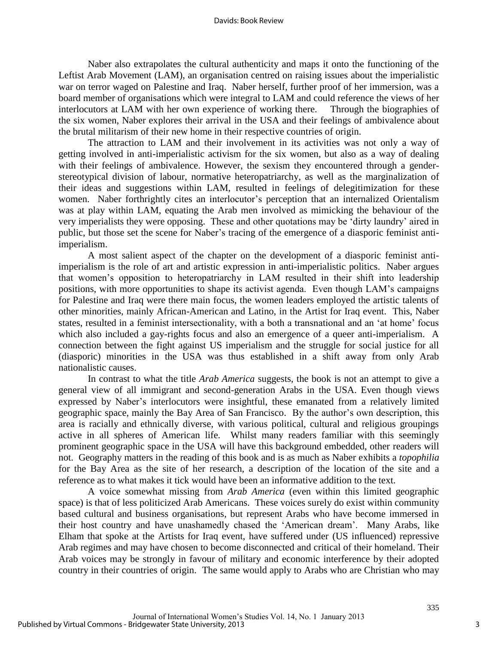#### Davids: Book Review

Naber also extrapolates the cultural authenticity and maps it onto the functioning of the Leftist Arab Movement (LAM), an organisation centred on raising issues about the imperialistic war on terror waged on Palestine and Iraq. Naber herself, further proof of her immersion, was a board member of organisations which were integral to LAM and could reference the views of her interlocutors at LAM with her own experience of working there. Through the biographies of the six women, Naber explores their arrival in the USA and their feelings of ambivalence about the brutal militarism of their new home in their respective countries of origin.

The attraction to LAM and their involvement in its activities was not only a way of getting involved in anti-imperialistic activism for the six women, but also as a way of dealing with their feelings of ambivalence. However, the sexism they encountered through a genderstereotypical division of labour, normative heteropatriarchy, as well as the marginalization of their ideas and suggestions within LAM, resulted in feelings of delegitimization for these women. Naber forthrightly cites an interlocutor's perception that an internalized Orientalism was at play within LAM, equating the Arab men involved as mimicking the behaviour of the very imperialists they were opposing. These and other quotations may be 'dirty laundry' aired in public, but those set the scene for Naber's tracing of the emergence of a diasporic feminist antiimperialism.

A most salient aspect of the chapter on the development of a diasporic feminist antiimperialism is the role of art and artistic expression in anti-imperialistic politics. Naber argues that women's opposition to heteropatriarchy in LAM resulted in their shift into leadership positions, with more opportunities to shape its activist agenda. Even though LAM's campaigns for Palestine and Iraq were there main focus, the women leaders employed the artistic talents of other minorities, mainly African-American and Latino, in the Artist for Iraq event. This, Naber states, resulted in a feminist intersectionality, with a both a transnational and an 'at home' focus which also included a gay-rights focus and also an emergence of a queer anti-imperialism. A connection between the fight against US imperialism and the struggle for social justice for all (diasporic) minorities in the USA was thus established in a shift away from only Arab nationalistic causes.

In contrast to what the title *Arab America* suggests, the book is not an attempt to give a general view of all immigrant and second-generation Arabs in the USA. Even though views expressed by Naber's interlocutors were insightful, these emanated from a relatively limited geographic space, mainly the Bay Area of San Francisco. By the author's own description, this area is racially and ethnically diverse, with various political, cultural and religious groupings active in all spheres of American life. Whilst many readers familiar with this seemingly prominent geographic space in the USA will have this background embedded, other readers will not. Geography matters in the reading of this book and is as much as Naber exhibits a *topophilia* for the Bay Area as the site of her research, a description of the location of the site and a reference as to what makes it tick would have been an informative addition to the text.

A voice somewhat missing from *Arab America* (even within this limited geographic space) is that of less politicized Arab Americans. These voices surely do exist within community based cultural and business organisations, but represent Arabs who have become immersed in their host country and have unashamedly chased the 'American dream'. Many Arabs, like Elham that spoke at the Artists for Iraq event, have suffered under (US influenced) repressive Arab regimes and may have chosen to become disconnected and critical of their homeland. Their Arab voices may be strongly in favour of military and economic interference by their adopted country in their countries of origin. The same would apply to Arabs who are Christian who may